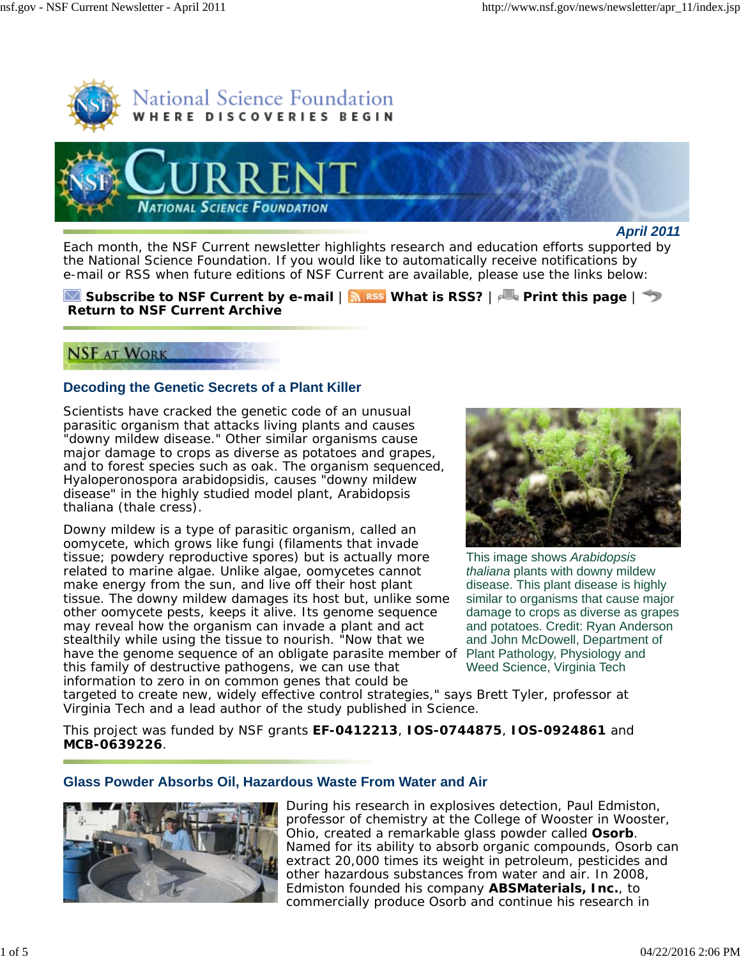



*April 2011*

Each month, the *NSF Current* newsletter highlights research and education efforts supported by the National Science Foundation. If you would like to automatically receive notifications by e-mail or RSS when future editions of *NSF Current* are available, please use the links below:

## **Subscribe to** *NSF Current* **by e-mail** | **What is RSS?** | **Print this page** | **Return to** *NSF Current* **Archive**

# **NSF AT WORK**

## **Decoding the Genetic Secrets of a Plant Killer**

Scientists have cracked the genetic code of an unusual parasitic organism that attacks living plants and causes "downy mildew disease." Other similar organisms cause major damage to crops as diverse as potatoes and grapes, and to forest species such as oak. The organism sequenced, *Hyaloperonospora arabidopsidis*, causes "downy mildew disease" in the highly studied model plant, *Arabidopsis thaliana* (thale cress).

have the genome sequence of an obligate parasite member of Plant Pathology, Physiology and Downy mildew is a type of parasitic organism, called an oomycete, which grows like fungi (filaments that invade tissue; powdery reproductive spores) but is actually more related to marine algae. Unlike algae, oomycetes cannot make energy from the sun, and live off their host plant tissue. The downy mildew damages its host but, unlike some other oomycete pests, keeps it alive. Its genome sequence may reveal how the organism can invade a plant and act stealthily while using the tissue to nourish. "Now that we this family of destructive pathogens, we can use that information to zero in on common genes that could be



This image shows *Arabidopsis thaliana* plants with downy mildew disease. This plant disease is highly similar to organisms that cause major damage to crops as diverse as grapes and potatoes. Credit: Ryan Anderson and John McDowell, Department of Weed Science, Virginia Tech

targeted to create new, widely effective control strategies," says Brett Tyler, professor at Virginia Tech and a lead author of the study published in *Science*.

This project was funded by NSF grants **EF-0412213**, **IOS-0744875**, **IOS-0924861** and **MCB-0639226**.

## **Glass Powder Absorbs Oil, Hazardous Waste From Water and Air**



During his research in explosives detection, Paul Edmiston, professor of chemistry at the College of Wooster in Wooster, Ohio, created a remarkable glass powder called **Osorb**. Named for its ability to absorb organic compounds, Osorb can extract 20,000 times its weight in petroleum, pesticides and other hazardous substances from water and air. In 2008, Edmiston founded his company **ABSMaterials, Inc.**, to commercially produce Osorb and continue his research in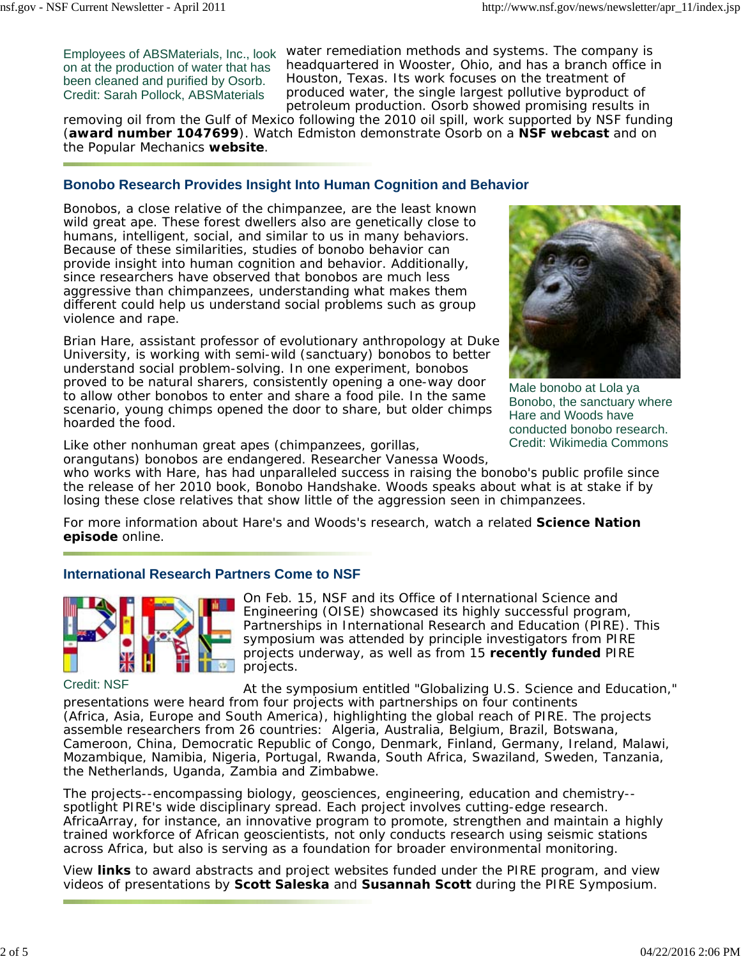Employees of ABSMaterials, Inc., look on at the production of water that has been cleaned and purified by Osorb. Credit: Sarah Pollock, ABSMaterials

water remediation methods and systems. The company is headquartered in Wooster, Ohio, and has a branch office in Houston, Texas. Its work focuses on the treatment of produced water, the single largest pollutive byproduct of petroleum production. Osorb showed promising results in

removing oil from the Gulf of Mexico following the 2010 oil spill, work supported by NSF funding (**award number 1047699**). Watch Edmiston demonstrate Osorb on a **NSF webcast** and on the *Popular Mechanics* **website**.

#### **Bonobo Research Provides Insight Into Human Cognition and Behavior**

Bonobos, a close relative of the chimpanzee, are the least known wild great ape. These forest dwellers also are genetically close to humans, intelligent, social, and similar to us in many behaviors. Because of these similarities, studies of bonobo behavior can provide insight into human cognition and behavior. Additionally, since researchers have observed that bonobos are much less aggressive than chimpanzees, understanding what makes them different could help us understand social problems such as group violence and rape.

Brian Hare, assistant professor of evolutionary anthropology at Duke University, is working with semi-wild (sanctuary) bonobos to better understand social problem-solving. In one experiment, bonobos proved to be natural sharers, consistently opening a one-way door to allow other bonobos to enter and share a food pile. In the same scenario, young chimps opened the door to share, but older chimps hoarded the food.



Male bonobo at Lola ya Bonobo, the sanctuary where Hare and Woods have conducted bonobo research. Credit: Wikimedia Commons

Like other nonhuman great apes (chimpanzees, gorillas,

orangutans) bonobos are endangered. Researcher Vanessa Woods, who works with Hare, has had unparalleled success in raising the bonobo's public profile since the release of her 2010 book, *Bonobo Handshake*. Woods speaks about what is at stake if by losing these close relatives that show little of the aggression seen in chimpanzees.

For more information about Hare's and Woods's research, watch a related **Science Nation episode** online.

#### **International Research Partners Come to NSF**



Credit: NSF

On Feb. 15, NSF and its Office of International Science and Engineering (OISE) showcased its highly successful program, Partnerships in International Research and Education (PIRE). This symposium was attended by principle investigators from PIRE projects underway, as well as from 15 **recently funded** PIRE projects.

At the symposium entitled "Globalizing U.S. Science and Education," presentations were heard from four projects with partnerships on four continents (Africa, Asia, Europe and South America), highlighting the global reach of PIRE. The projects assemble researchers from 26 countries: Algeria, Australia, Belgium, Brazil, Botswana, Cameroon, China, Democratic Republic of Congo, Denmark, Finland, Germany, Ireland, Malawi, Mozambique, Namibia, Nigeria, Portugal, Rwanda, South Africa, Swaziland, Sweden, Tanzania, the Netherlands, Uganda, Zambia and Zimbabwe.

The projects--encompassing biology, geosciences, engineering, education and chemistry- spotlight PIRE's wide disciplinary spread. Each project involves cutting-edge research. AfricaArray, for instance, an innovative program to promote, strengthen and maintain a highly trained workforce of African geoscientists, not only conducts research using seismic stations across Africa, but also is serving as a foundation for broader environmental monitoring.

View **links** to award abstracts and project websites funded under the PIRE program, and view videos of presentations by **Scott Saleska** and **Susannah Scott** during the PIRE Symposium.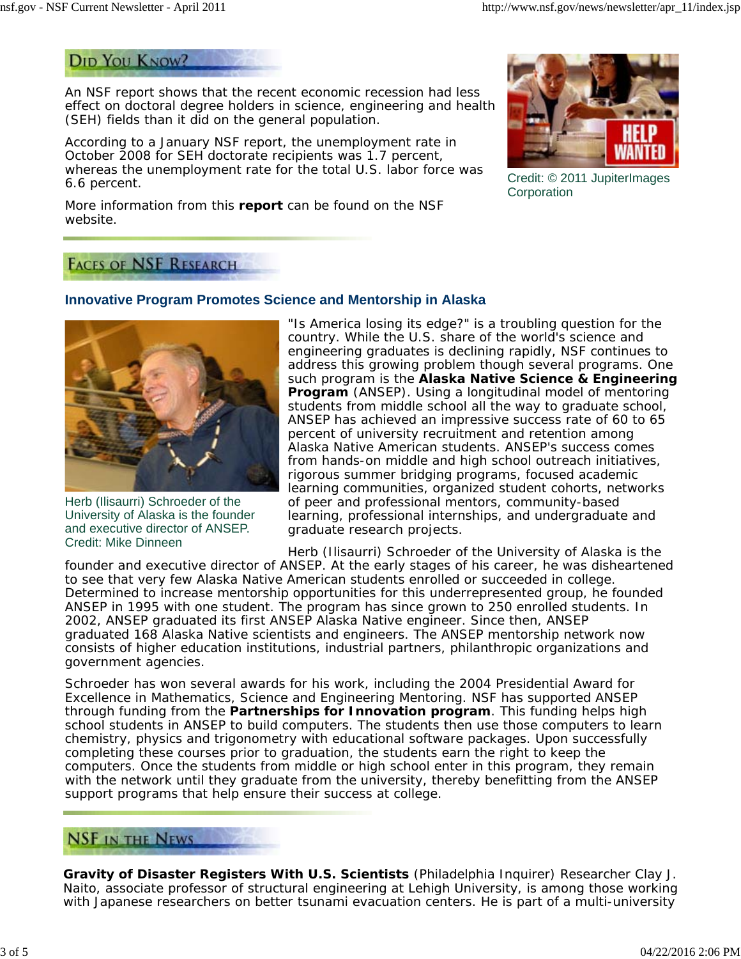# **DID YOU KNOW?**

An NSF report shows that the recent economic recession had less effect on doctoral degree holders in science, engineering and health (SEH) fields than it did on the general population.

According to a January NSF report, the unemployment rate in October 2008 for SEH doctorate recipients was 1.7 percent, whereas the unemployment rate for the total U.S. labor force was 6.6 percent.

More information from this **report** can be found on the NSF website.



Credit: © 2011 JupiterImages **Corporation** 

# **FACES OF NSF RESEARCH**

## **Innovative Program Promotes Science and Mentorship in Alaska**



Herb (Ilisaurri) Schroeder of the University of Alaska is the founder and executive director of ANSEP. Credit: Mike Dinneen

"Is America losing its edge?" is a troubling question for the country. While the U.S. share of the world's science and engineering graduates is declining rapidly, NSF continues to address this growing problem though several programs. One such program is the **Alaska Native Science & Engineering Program** (ANSEP). Using a longitudinal model of mentoring students from middle school all the way to graduate school, ANSEP has achieved an impressive success rate of 60 to 65 percent of university recruitment and retention among Alaska Native American students. ANSEP's success comes from hands-on middle and high school outreach initiatives, rigorous summer bridging programs, focused academic learning communities, organized student cohorts, networks of peer and professional mentors, community-based learning, professional internships, and undergraduate and graduate research projects.

Herb (Ilisaurri) Schroeder of the University of Alaska is the founder and executive director of ANSEP. At the early stages of his career, he was disheartened to see that very few Alaska Native American students enrolled or succeeded in college. Determined to increase mentorship opportunities for this underrepresented group, he founded ANSEP in 1995 with one student. The program has since grown to 250 enrolled students. In 2002, ANSEP graduated its first ANSEP Alaska Native engineer. Since then, ANSEP graduated 168 Alaska Native scientists and engineers. The ANSEP mentorship network now consists of higher education institutions, industrial partners, philanthropic organizations and government agencies.

Schroeder has won several awards for his work, including the 2004 Presidential Award for Excellence in Mathematics, Science and Engineering Mentoring. NSF has supported ANSEP through funding from the **Partnerships for Innovation program**. This funding helps high school students in ANSEP to build computers. The students then use those computers to learn chemistry, physics and trigonometry with educational software packages. Upon successfully completing these courses prior to graduation, the students earn the right to keep the computers. Once the students from middle or high school enter in this program, they remain with the network until they graduate from the university, thereby benefitting from the ANSEP support programs that help ensure their success at college.

# **NSF IN THE NEWS**

**Gravity of Disaster Registers With U.S. Scientists** (*Philadelphia Inquirer*) Researcher Clay J. Naito, associate professor of structural engineering at Lehigh University, is among those working with Japanese researchers on better tsunami evacuation centers. He is part of a multi-university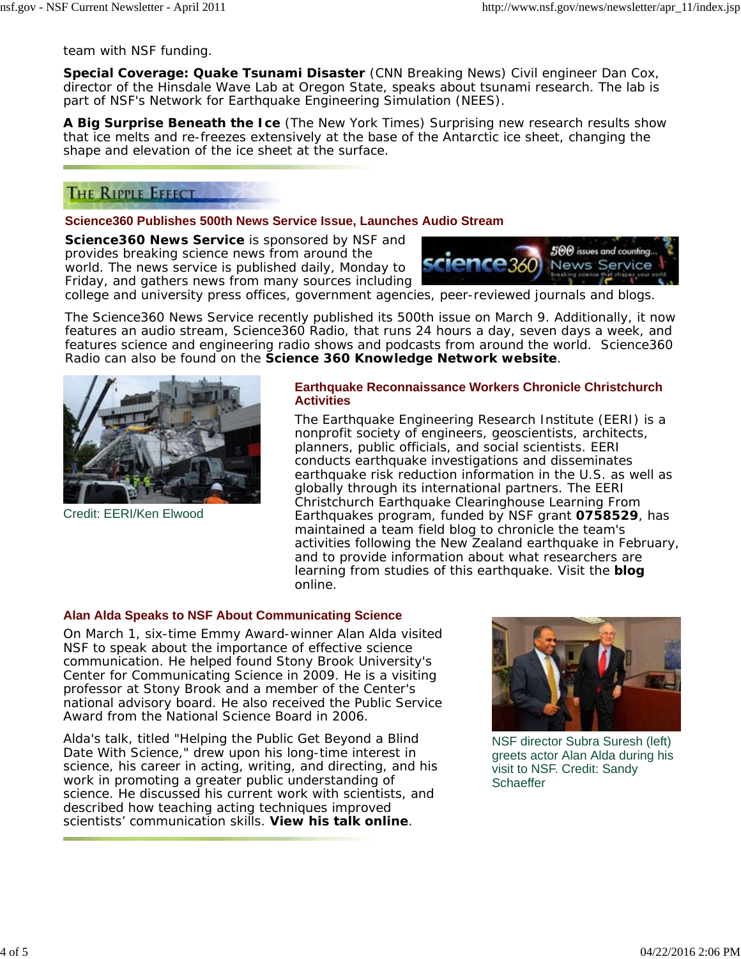team with NSF funding.

**Special Coverage: Quake Tsunami Disaster** (*CNN Breaking News*) Civil engineer Dan Cox, director of the Hinsdale Wave Lab at Oregon State, speaks about tsunami research. The lab is part of NSF's Network for Earthquake Engineering Simulation (NEES).

**A Big Surprise Beneath the Ice** (*The New York Times*) Surprising new research results show that ice melts and re-freezes extensively at the base of the Antarctic ice sheet, changing the shape and elevation of the ice sheet at the surface.

# THE RIPPLE EFFECT

#### **Science360 Publishes 500th News Service Issue, Launches Audio Stream**

**Science360 News Service** is sponsored by NSF and provides breaking science news from around the world. The news service is published daily, Monday to Friday, and gathers news from many sources including



college and university press offices, government agencies, peer-reviewed journals and blogs.

The Science360 News Service recently published its 500th issue on March 9. Additionally, it now features an audio stream, Science360 Radio, that runs 24 hours a day, seven days a week, and features science and engineering radio shows and podcasts from around the world. Science360 Radio can also be found on the **Science 360 Knowledge Network website**.



Credit: EERI/Ken Elwood

#### **Earthquake Reconnaissance Workers Chronicle Christchurch Activities**

The Earthquake Engineering Research Institute (EERI) is a nonprofit society of engineers, geoscientists, architects, planners, public officials, and social scientists. EERI conducts earthquake investigations and disseminates earthquake risk reduction information in the U.S. as well as globally through its international partners. The EERI Christchurch Earthquake Clearinghouse Learning From Earthquakes program, funded by NSF grant **0758529**, has maintained a team field blog to chronicle the team's activities following the New Zealand earthquake in February, and to provide information about what researchers are learning from studies of this earthquake. Visit the **blog** online.

## **Alan Alda Speaks to NSF About Communicating Science**

On March 1, six-time Emmy Award-winner Alan Alda visited NSF to speak about the importance of effective science communication. He helped found Stony Brook University's Center for Communicating Science in 2009. He is a visiting professor at Stony Brook and a member of the Center's national advisory board. He also received the Public Service Award from the National Science Board in 2006.

Alda's talk, titled "Helping the Public Get Beyond a Blind Date With Science," drew upon his long-time interest in science, his career in acting, writing, and directing, and his work in promoting a greater public understanding of science. He discussed his current work with scientists, and described how teaching acting techniques improved scientists' communication skills. **View his talk online**.



NSF director Subra Suresh (left) greets actor Alan Alda during his visit to NSF. Credit: Sandy **Schaeffer**